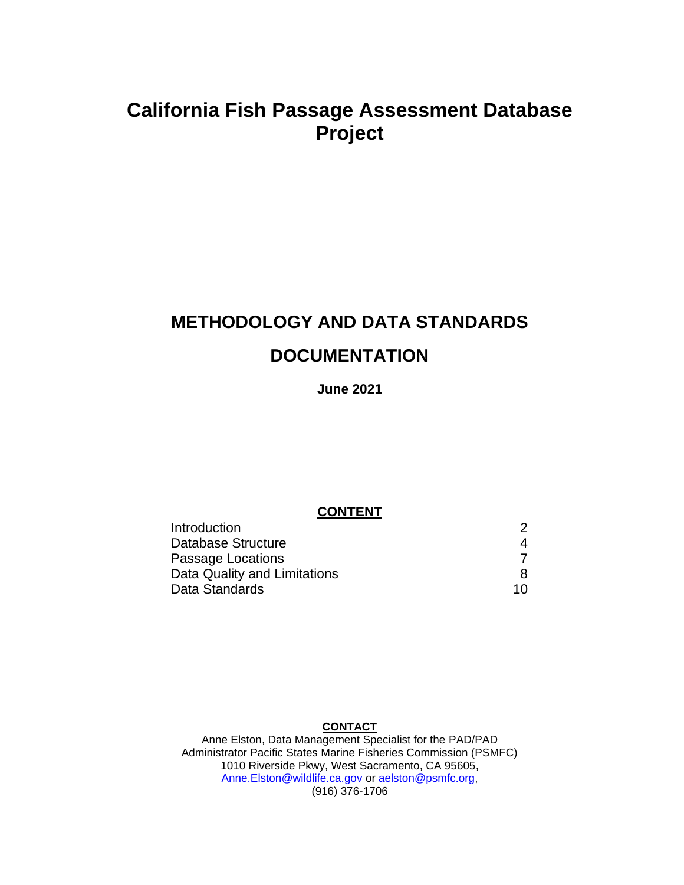# **California Fish Passage Assessment Database Project**

# **METHODOLOGY AND DATA STANDARDS DOCUMENTATION**

#### **June 2021**

#### **CONTENT**

| <b>Introduction</b>          | 2  |
|------------------------------|----|
| Database Structure           | 4  |
| Passage Locations            |    |
| Data Quality and Limitations | 8  |
| Data Standards               | 10 |

#### **CONTACT**

Anne Elston, Data Management Specialist for the PAD/PAD Administrator Pacific States Marine Fisheries Commission (PSMFC) 1010 Riverside Pkwy, West Sacramento, CA 95605, [Anne.Elston@wildlife.ca.gov](mailto:Anne.Elston@wildlife.ca.gov) or [aelston@psmfc.org,](mailto:aelston@psmfc.org) (916) 376-1706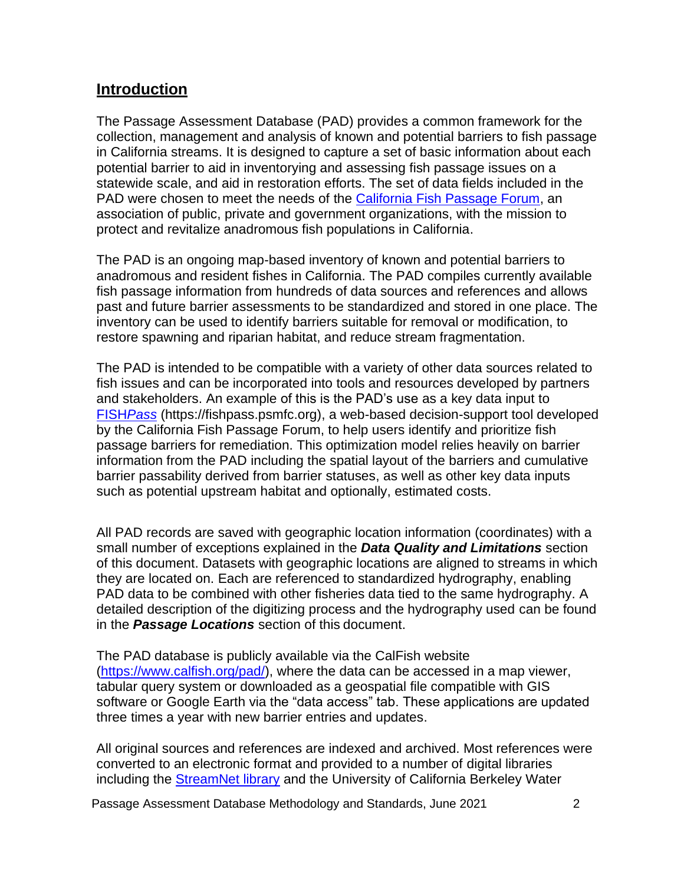## <span id="page-1-0"></span>**Introduction**

The Passage Assessment Database (PAD) provides a common framework for the collection, management and analysis of known and potential barriers to fish passage in California streams. It is designed to capture a set of basic information about each potential barrier to aid in inventorying and assessing fish passage issues on a statewide scale, and aid in restoration efforts. The set of data fields included in the PAD were chosen to meet the needs of the [California Fish Passage Forum,](https://www.cafishpassageforum.org/) an association of public, private and government organizations, with the mission to protect and revitalize anadromous fish populations in California.

The PAD is an ongoing map-based inventory of known and potential barriers to anadromous and resident fishes in California. The PAD compiles currently available fish passage information from hundreds of data sources and references and allows past and future barrier assessments to be standardized and stored in one place. The inventory can be used to identify barriers suitable for removal or modification, to restore spawning and riparian habitat, and reduce stream fragmentation.

The PAD is intended to be compatible with a variety of other data sources related to fish issues and can be incorporated into tools and resources developed by partners and stakeholders. An example of this is the PAD's use as a key data input to [FISH](https://fishpass.psmfc.org/)*Pass* (https://fishpass.psmfc.org), a web-based decision-support tool developed by the California Fish Passage Forum, to help users identify and prioritize fish passage barriers for remediation. This optimization model relies heavily on barrier information from the PAD including the spatial layout of the barriers and cumulative barrier passability derived from barrier statuses, as well as other key data inputs such as potential upstream habitat and optionally, estimated costs.

All PAD records are saved with geographic location information (coordinates) with a small number of exceptions explained in the *Data Quality and Limitations* section of this document. Datasets with geographic locations are aligned to streams in which they are located on. Each are referenced to standardized hydrography, enabling PAD data to be combined with other fisheries data tied to the same hydrography. A detailed description of the digitizing process and the hydrography used can be found in the *Passage Locations* section of this document.

The PAD database is publicly available via the CalFish website [\(https://www.calfish.org/pad/\)](https://www.calfish.org/pad/), where the data can be accessed in a map viewer, tabular query system or downloaded as a geospatial file compatible with GIS software or Google Earth via the "data access" tab. These applications are updated three times a year with new barrier entries and updates.

All original sources and references are indexed and archived. Most references were converted to an electronic format and provided to a number of digital libraries including the [StreamNet library](https://www.streamnetlibrary.org/) and the University of California Berkeley Water

Passage Assessment Database Methodology and Standards, June 2021 2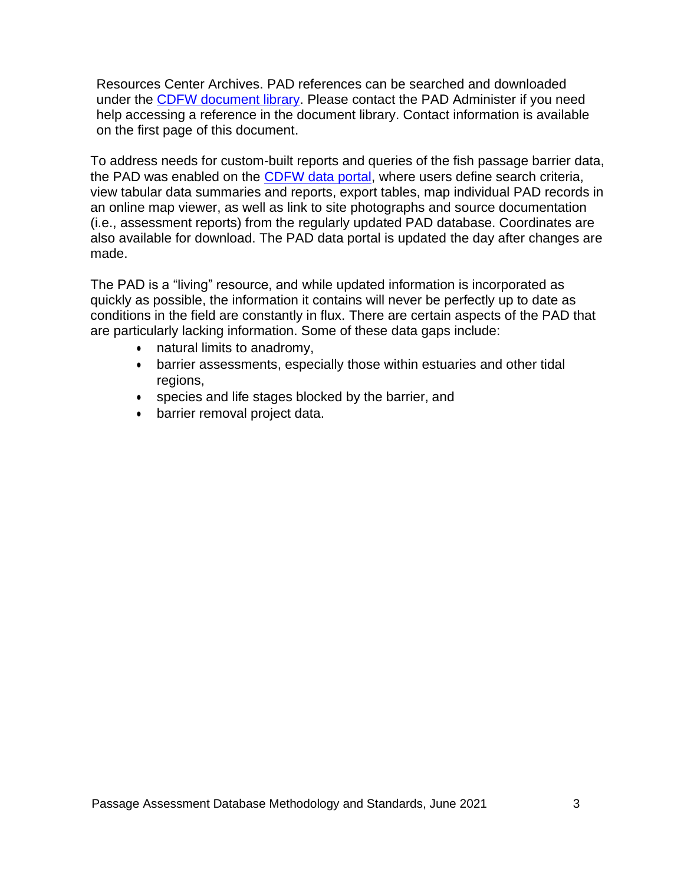Resources Center Archives. PAD references can be searched and downloaded under the [CDFW document library.](https://nrm.dfg.ca.gov/documents/Default.aspx) Please contact the PAD Administer if you need help accessing a reference in the document library. Contact information is available on the first page of this document.

To address needs for custom-built reports and queries of the fish passage barrier data, the PAD was enabled on the [CDFW data portal,](http://nrm.dfg.ca.gov/PAD/view/query.aspx) where users define search criteria, view tabular data summaries and reports, export tables, map individual PAD records in an online map viewer, as well as link to site photographs and source documentation (i.e., assessment reports) from the regularly updated PAD database. Coordinates are also available for download. The PAD data portal is updated the day after changes are made.

The PAD is a "living" resource, and while updated information is incorporated as quickly as possible, the information it contains will never be perfectly up to date as conditions in the field are constantly in flux. There are certain aspects of the PAD that are particularly lacking information. Some of these data gaps include:

- natural limits to anadromy,
- barrier assessments, especially those within estuaries and other tidal regions,
- species and life stages blocked by the barrier, and
- barrier removal project data.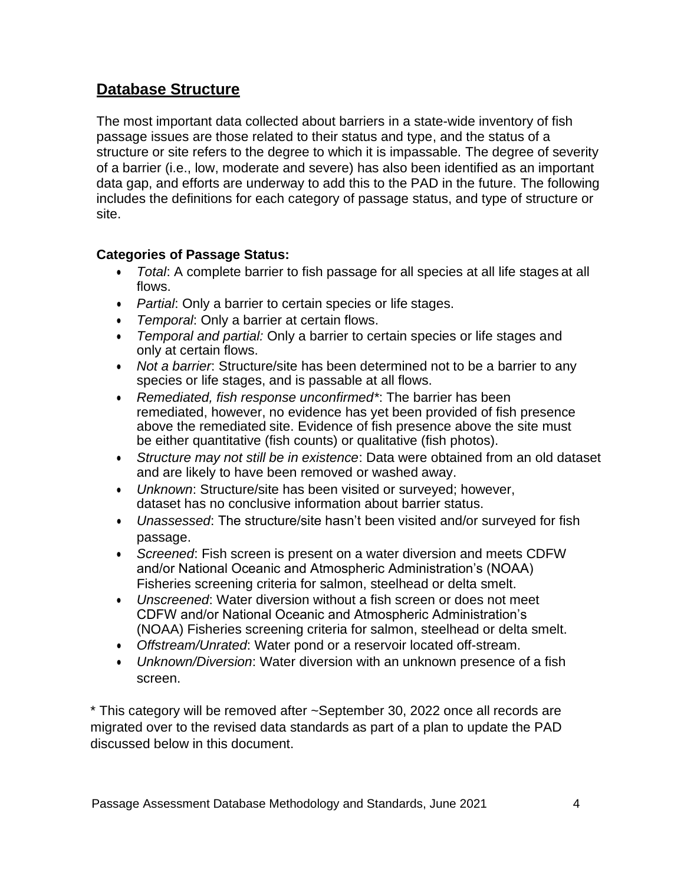# <span id="page-3-0"></span>**Database Structure**

The most important data collected about barriers in a state-wide inventory of fish passage issues are those related to their status and type, and the status of a structure or site refers to the degree to which it is impassable. The degree of severity of a barrier (i.e., low, moderate and severe) has also been identified as an important data gap, and efforts are underway to add this to the PAD in the future. The following includes the definitions for each category of passage status, and type of structure or site.

### **Categories of Passage Status:**

- *Total*: A complete barrier to fish passage for all species at all life stages at all flows.
- *Partial*: Only a barrier to certain species or life stages.
- *Temporal*: Only a barrier at certain flows.
- *Temporal and partial:* Only a barrier to certain species or life stages and only at certain flows.
- *Not a barrier*: Structure/site has been determined not to be a barrier to any species or life stages, and is passable at all flows.
- *Remediated, fish response unconfirmed\**: The barrier has been remediated, however, no evidence has yet been provided of fish presence above the remediated site. Evidence of fish presence above the site must be either quantitative (fish counts) or qualitative (fish photos).
- *Structure may not still be in existence*: Data were obtained from an old dataset and are likely to have been removed or washed away.
- *Unknown*: Structure/site has been visited or surveyed; however, dataset has no conclusive information about barrier status.
- *Unassessed*: The structure/site hasn't been visited and/or surveyed for fish passage.
- *Screened*: Fish screen is present on a water diversion and meets CDFW and/or National Oceanic and Atmospheric Administration's (NOAA) Fisheries screening criteria for salmon, steelhead or delta smelt.
- *Unscreened*: Water diversion without a fish screen or does not meet CDFW and/or National Oceanic and Atmospheric Administration's (NOAA) Fisheries screening criteria for salmon, steelhead or delta smelt.
- *Offstream/Unrated*: Water pond or a reservoir located off-stream.
- *Unknown/Diversion*: Water diversion with an unknown presence of a fish screen.

\* This category will be removed after ~September 30, 2022 once all records are migrated over to the revised data standards as part of a plan to update the PAD discussed below in this document.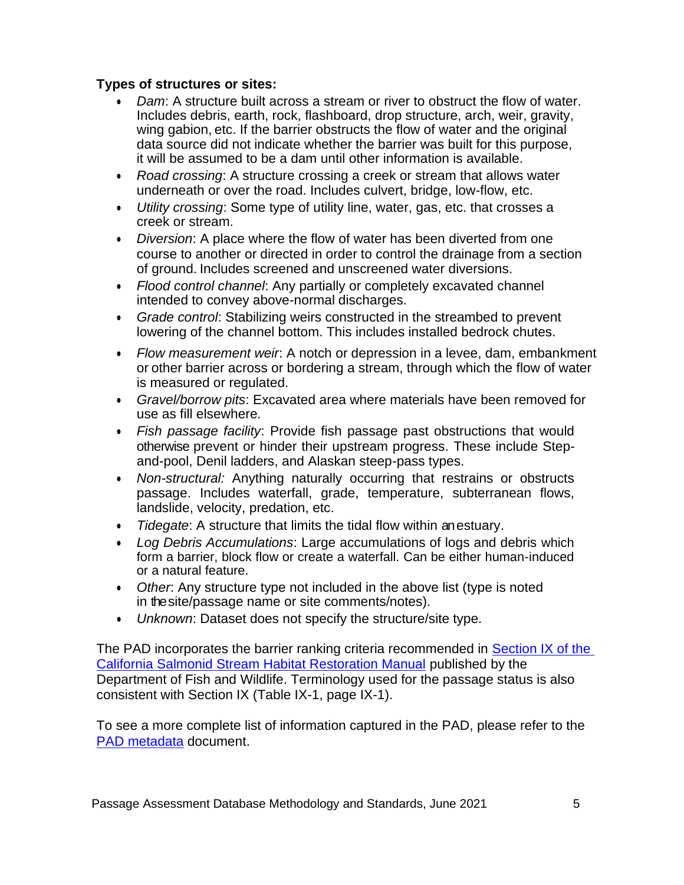#### **Types of structures or sites:**

- *Dam*: A structure built across a stream or river to obstruct the flow of water. Includes debris, earth, rock, flashboard, drop structure, arch, weir, gravity, wing gabion, etc. If the barrier obstructs the flow of water and the original data source did not indicate whether the barrier was built for this purpose, it will be assumed to be a dam until other information is available.
- *Road crossing*: A structure crossing a creek or stream that allows water underneath or over the road. Includes culvert, bridge, low-flow, etc.
- *Utility crossing*: Some type of utility line, water, gas, etc. that crosses a creek or stream.
- *Diversion*: A place where the flow of water has been diverted from one course to another or directed in order to control the drainage from a section of ground. Includes screened and unscreened water diversions.
- *Flood control channel*: Any partially or completely excavated channel intended to convey above-normal discharges.
- *Grade control*: Stabilizing weirs constructed in the streambed to prevent lowering of the channel bottom. This includes installed bedrock chutes.
- *Flow measurement weir*: A notch or depression in a levee, dam, embankment or other barrier across or bordering a stream, through which the flow of water is measured or regulated.
- *Gravel/borrow pits*: Excavated area where materials have been removed for use as fill elsewhere.
- *Fish passage facility*: Provide fish passage past obstructions that would otherwise prevent or hinder their upstream progress. These include Stepand-pool, Denil ladders, and Alaskan steep-pass types.
- *Non-structural:* Anything naturally occurring that restrains or obstructs passage. Includes waterfall, grade, temperature, subterranean flows, landslide, velocity, predation, etc.
- *Tidegate*: A structure that limits the tidal flow within anestuary.
- *Log Debris Accumulations*: Large accumulations of logs and debris which form a barrier, block flow or create a waterfall. Can be either human-induced or a natural feature.
- *Other*: Any structure type not included in the above list (type is noted in the site/passage name or site comments/notes).
- *Unknown*: Dataset does not specify the structure/site type.

The PAD incorporates the barrier ranking criteria recommended in Section IX of the [California Salmonid Stream Habitat Restoration Manual](https://nrm.dfg.ca.gov/FileHandler.ashx?DocumentID=22612&inline) published by the Department of Fish and Wildlife. Terminology used for the passage status is also consistent with Section IX (Table IX-1, page IX-1).

To see a more complete list of information captured in the PAD, please refer to the [PAD metadata](http://map.dfg.ca.gov/bios/standalonemeta.aspx?ds=069) document.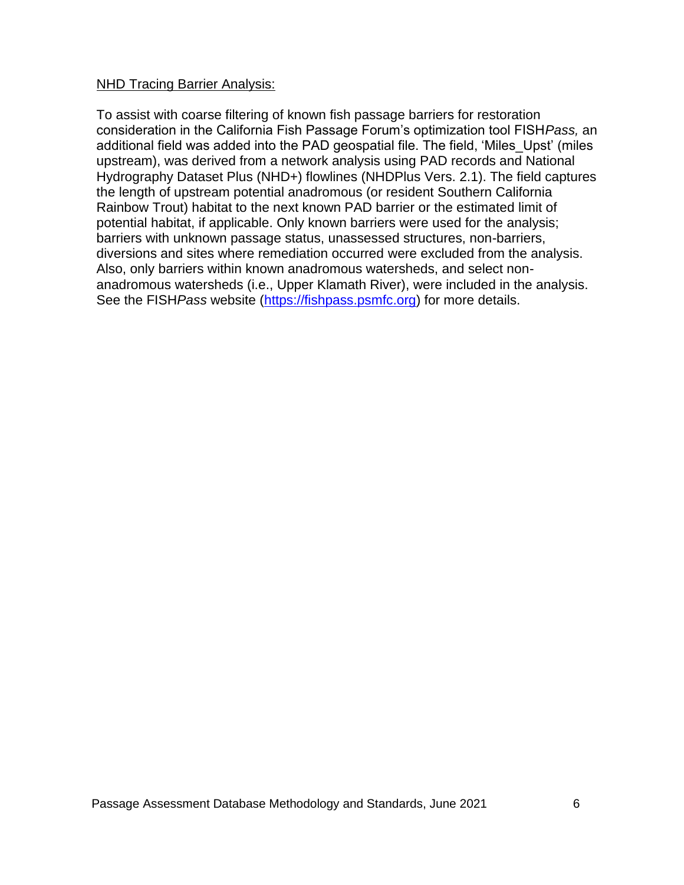#### NHD Tracing Barrier Analysis:

To assist with coarse filtering of known fish passage barriers for restoration consideration in the California Fish Passage Forum's optimization tool FISH*Pass,* an additional field was added into the PAD geospatial file. The field, 'Miles\_Upst' (miles upstream), was derived from a network analysis using PAD records and National Hydrography Dataset Plus (NHD+) flowlines (NHDPlus Vers. 2.1). The field captures the length of upstream potential anadromous (or resident Southern California Rainbow Trout) habitat to the next known PAD barrier or the estimated limit of potential habitat, if applicable. Only known barriers were used for the analysis; barriers with unknown passage status, unassessed structures, non-barriers, diversions and sites where remediation occurred were excluded from the analysis. Also, only barriers within known anadromous watersheds, and select nonanadromous watersheds (i.e., Upper Klamath River), were included in the analysis. See the FISH*Pass* website [\(https://fishpass.psmfc.org\)](https://fishpass.psmfc.org/) for more details.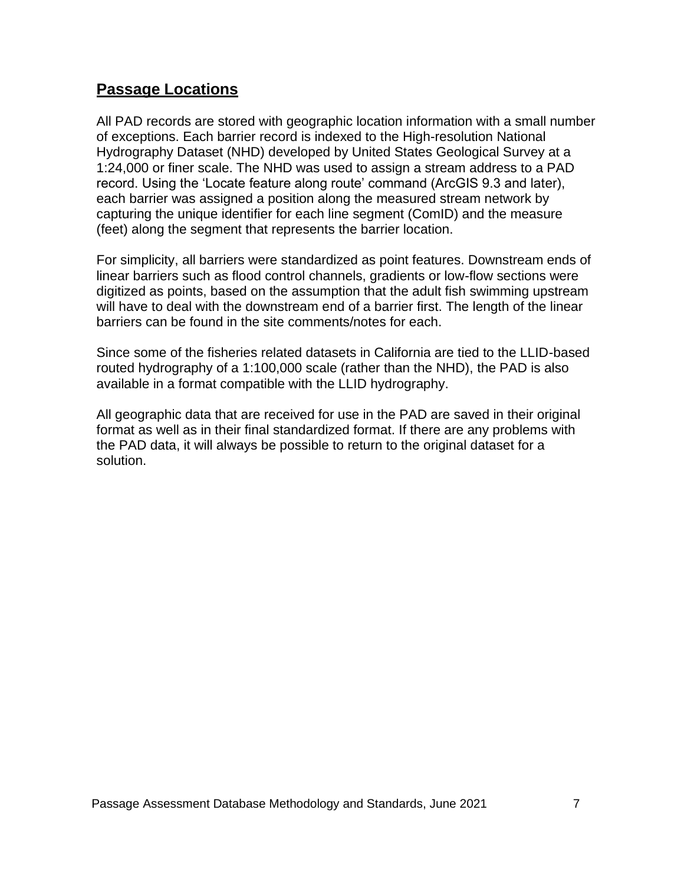## <span id="page-6-0"></span>**Passage Locations**

All PAD records are stored with geographic location information with a small number of exceptions. Each barrier record is indexed to the High-resolution National Hydrography Dataset (NHD) developed by United States Geological Survey at a 1:24,000 or finer scale. The NHD was used to assign a stream address to a PAD record. Using the 'Locate feature along route' command (ArcGIS 9.3 and later), each barrier was assigned a position along the measured stream network by capturing the unique identifier for each line segment (ComID) and the measure (feet) along the segment that represents the barrier location.

For simplicity, all barriers were standardized as point features. Downstream ends of linear barriers such as flood control channels, gradients or low-flow sections were digitized as points, based on the assumption that the adult fish swimming upstream will have to deal with the downstream end of a barrier first. The length of the linear barriers can be found in the site comments/notes for each.

Since some of the fisheries related datasets in California are tied to the LLID-based routed hydrography of a 1:100,000 scale (rather than the NHD), the PAD is also available in a format compatible with the LLID hydrography.

All geographic data that are received for use in the PAD are saved in their original format as well as in their final standardized format. If there are any problems with the PAD data, it will always be possible to return to the original dataset for a solution.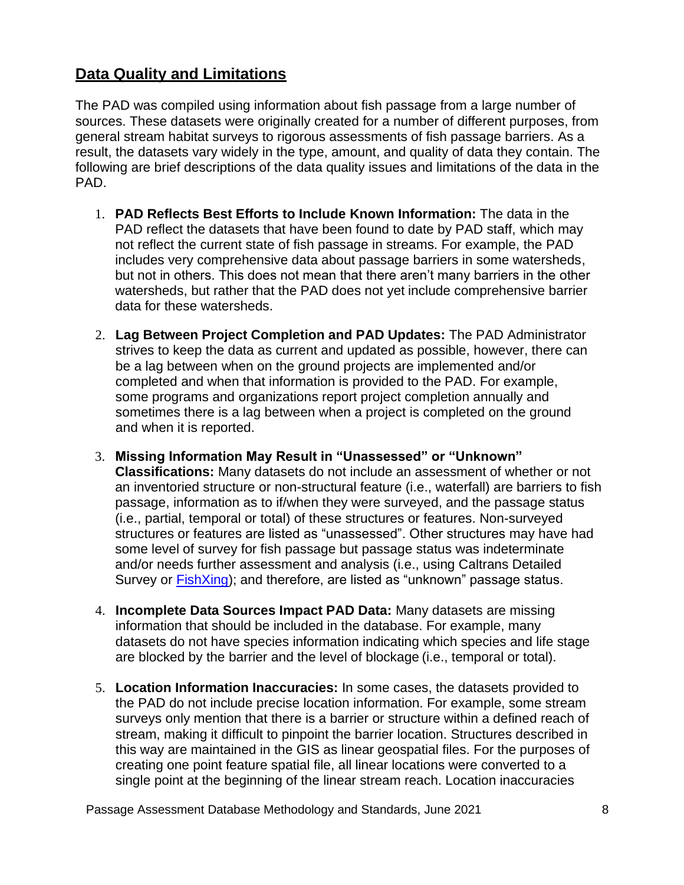# <span id="page-7-0"></span>**Data Quality and Limitations**

The PAD was compiled using information about fish passage from a large number of sources. These datasets were originally created for a number of different purposes, from general stream habitat surveys to rigorous assessments of fish passage barriers. As a result, the datasets vary widely in the type, amount, and quality of data they contain. The following are brief descriptions of the data quality issues and limitations of the data in the PAD.

- 1. **PAD Reflects Best Efforts to Include Known Information:** The data in the PAD reflect the datasets that have been found to date by PAD staff, which may not reflect the current state of fish passage in streams. For example, the PAD includes very comprehensive data about passage barriers in some watersheds, but not in others. This does not mean that there aren't many barriers in the other watersheds, but rather that the PAD does not yet include comprehensive barrier data for these watersheds.
- 2. **Lag Between Project Completion and PAD Updates:** The PAD Administrator strives to keep the data as current and updated as possible, however, there can be a lag between when on the ground projects are implemented and/or completed and when that information is provided to the PAD. For example, some programs and organizations report project completion annually and sometimes there is a lag between when a project is completed on the ground and when it is reported.
- 3. **Missing Information May Result in "Unassessed" or "Unknown" Classifications:** Many datasets do not include an assessment of whether or not an inventoried structure or non-structural feature (i.e., waterfall) are barriers to fish passage, information as to if/when they were surveyed, and the passage status (i.e., partial, temporal or total) of these structures or features. Non-surveyed structures or features are listed as "unassessed". Other structures may have had some level of survey for fish passage but passage status was indeterminate and/or needs further assessment and analysis (i.e., using Caltrans Detailed Survey or [FishXing\)](http://www.fishxing.org/); and therefore, are listed as "unknown" passage status.
- 4. **Incomplete Data Sources Impact PAD Data:** Many datasets are missing information that should be included in the database. For example, many datasets do not have species information indicating which species and life stage are blocked by the barrier and the level of blockage (i.e., temporal or total).
- 5. **Location Information Inaccuracies:** In some cases, the datasets provided to the PAD do not include precise location information. For example, some stream surveys only mention that there is a barrier or structure within a defined reach of stream, making it difficult to pinpoint the barrier location. Structures described in this way are maintained in the GIS as linear geospatial files. For the purposes of creating one point feature spatial file, all linear locations were converted to a single point at the beginning of the linear stream reach. Location inaccuracies

Passage Assessment Database Methodology and Standards, June 2021 **8** 8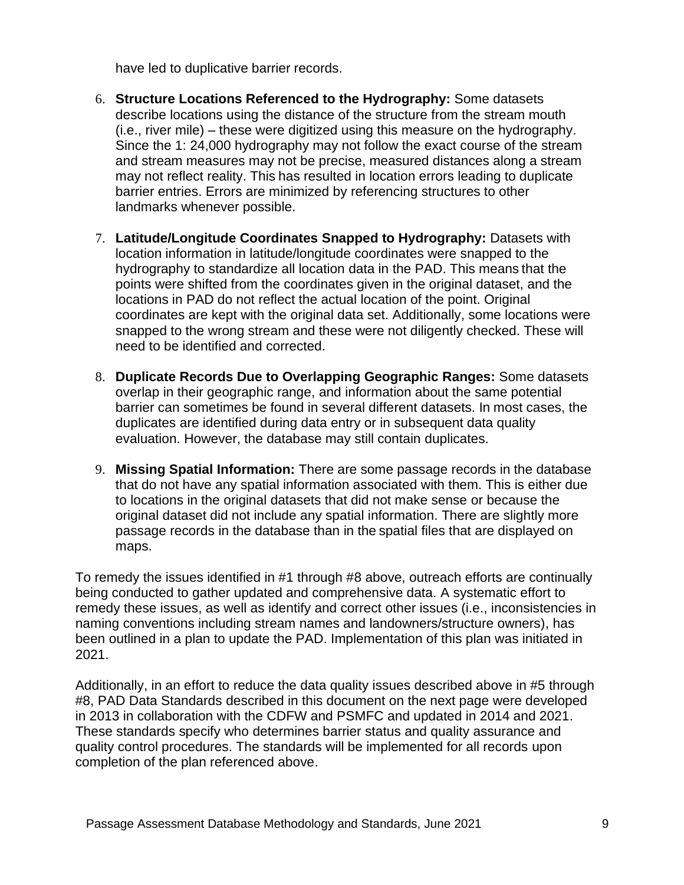have led to duplicative barrier records.

- 6. **Structure Locations Referenced to the Hydrography:** Some datasets describe locations using the distance of the structure from the stream mouth (i.e., river mile) – these were digitized using this measure on the hydrography. Since the 1: 24,000 hydrography may not follow the exact course of the stream and stream measures may not be precise, measured distances along a stream may not reflect reality. This has resulted in location errors leading to duplicate barrier entries. Errors are minimized by referencing structures to other landmarks whenever possible.
- 7. **Latitude/Longitude Coordinates Snapped to Hydrography:** Datasets with location information in latitude/longitude coordinates were snapped to the hydrography to standardize all location data in the PAD. This means that the points were shifted from the coordinates given in the original dataset, and the locations in PAD do not reflect the actual location of the point. Original coordinates are kept with the original data set. Additionally, some locations were snapped to the wrong stream and these were not diligently checked. These will need to be identified and corrected.
- 8. **Duplicate Records Due to Overlapping Geographic Ranges:** Some datasets overlap in their geographic range, and information about the same potential barrier can sometimes be found in several different datasets. In most cases, the duplicates are identified during data entry or in subsequent data quality evaluation. However, the database may still contain duplicates.
- 9. **Missing Spatial Information:** There are some passage records in the database that do not have any spatial information associated with them. This is either due to locations in the original datasets that did not make sense or because the original dataset did not include any spatial information. There are slightly more passage records in the database than in the spatial files that are displayed on maps.

To remedy the issues identified in #1 through #8 above, outreach efforts are continually being conducted to gather updated and comprehensive data. A systematic effort to remedy these issues, as well as identify and correct other issues (i.e., inconsistencies in naming conventions including stream names and landowners/structure owners), has been outlined in a plan to update the PAD. Implementation of this plan was initiated in 2021.

Additionally, in an effort to reduce the data quality issues described above in #5 through #8, PAD Data Standards described in this document on the next page were developed in 2013 in collaboration with the CDFW and PSMFC and updated in 2014 and 2021. These standards specify who determines barrier status and quality assurance and quality control procedures. The standards will be implemented for all records upon completion of the plan referenced above.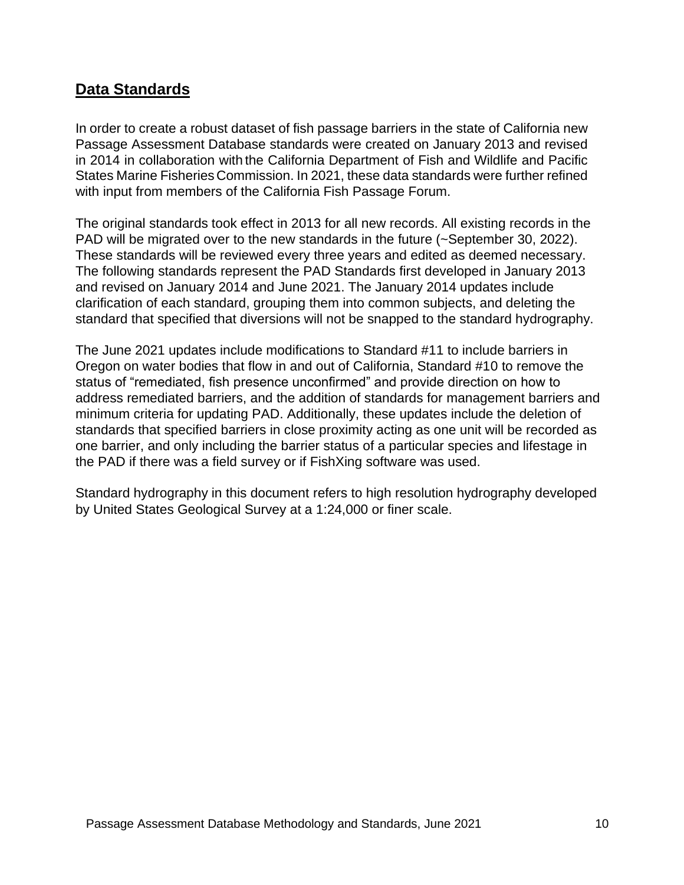# <span id="page-9-0"></span>**Data Standards**

In order to create a robust dataset of fish passage barriers in the state of California new Passage Assessment Database standards were created on January 2013 and revised in 2014 in collaboration with the California Department of Fish and Wildlife and Pacific States Marine Fisheries Commission. In 2021, these data standards were further refined with input from members of the California Fish Passage Forum.

The original standards took effect in 2013 for all new records. All existing records in the PAD will be migrated over to the new standards in the future (~September 30, 2022). These standards will be reviewed every three years and edited as deemed necessary. The following standards represent the PAD Standards first developed in January 2013 and revised on January 2014 and June 2021. The January 2014 updates include clarification of each standard, grouping them into common subjects, and deleting the standard that specified that diversions will not be snapped to the standard hydrography.

The June 2021 updates include modifications to Standard #11 to include barriers in Oregon on water bodies that flow in and out of California, Standard #10 to remove the status of "remediated, fish presence unconfirmed" and provide direction on how to address remediated barriers, and the addition of standards for management barriers and minimum criteria for updating PAD. Additionally, these updates include the deletion of standards that specified barriers in close proximity acting as one unit will be recorded as one barrier, and only including the barrier status of a particular species and lifestage in the PAD if there was a field survey or if FishXing software was used.

Standard hydrography in this document refers to high resolution hydrography developed by United States Geological Survey at a 1:24,000 or finer scale.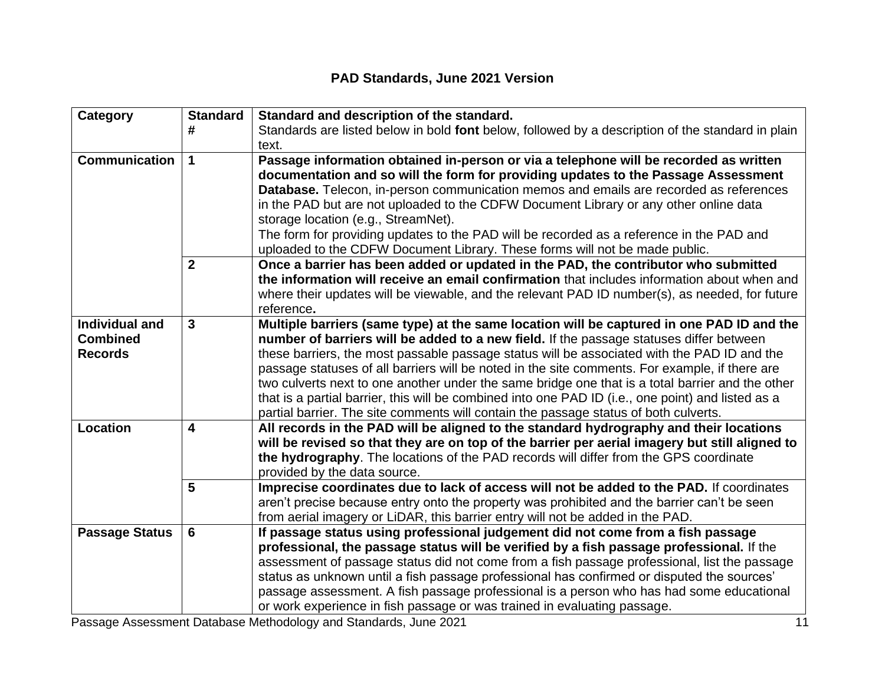# **PAD Standards, June 2021 Version**

| Category              | <b>Standard</b>         | Standard and description of the standard.                                                                                                                                      |
|-----------------------|-------------------------|--------------------------------------------------------------------------------------------------------------------------------------------------------------------------------|
|                       | #                       | Standards are listed below in bold font below, followed by a description of the standard in plain<br>text.                                                                     |
| <b>Communication</b>  | $\mathbf 1$             | Passage information obtained in-person or via a telephone will be recorded as written                                                                                          |
|                       |                         | documentation and so will the form for providing updates to the Passage Assessment                                                                                             |
|                       |                         | Database. Telecon, in-person communication memos and emails are recorded as references                                                                                         |
|                       |                         | in the PAD but are not uploaded to the CDFW Document Library or any other online data                                                                                          |
|                       |                         | storage location (e.g., StreamNet).                                                                                                                                            |
|                       |                         | The form for providing updates to the PAD will be recorded as a reference in the PAD and<br>uploaded to the CDFW Document Library. These forms will not be made public.        |
|                       | $\mathbf{2}$            | Once a barrier has been added or updated in the PAD, the contributor who submitted                                                                                             |
|                       |                         | the information will receive an email confirmation that includes information about when and                                                                                    |
|                       |                         | where their updates will be viewable, and the relevant PAD ID number(s), as needed, for future                                                                                 |
|                       |                         | reference.                                                                                                                                                                     |
| <b>Individual and</b> | $\overline{3}$          | Multiple barriers (same type) at the same location will be captured in one PAD ID and the                                                                                      |
| <b>Combined</b>       |                         | number of barriers will be added to a new field. If the passage statuses differ between                                                                                        |
| <b>Records</b>        |                         | these barriers, the most passable passage status will be associated with the PAD ID and the                                                                                    |
|                       |                         | passage statuses of all barriers will be noted in the site comments. For example, if there are                                                                                 |
|                       |                         | two culverts next to one another under the same bridge one that is a total barrier and the other                                                                               |
|                       |                         | that is a partial barrier, this will be combined into one PAD ID (i.e., one point) and listed as a                                                                             |
| <b>Location</b>       | $\overline{\mathbf{4}}$ | partial barrier. The site comments will contain the passage status of both culverts.<br>All records in the PAD will be aligned to the standard hydrography and their locations |
|                       |                         | will be revised so that they are on top of the barrier per aerial imagery but still aligned to                                                                                 |
|                       |                         | the hydrography. The locations of the PAD records will differ from the GPS coordinate                                                                                          |
|                       |                         | provided by the data source.                                                                                                                                                   |
|                       | 5                       | Imprecise coordinates due to lack of access will not be added to the PAD. If coordinates                                                                                       |
|                       |                         | aren't precise because entry onto the property was prohibited and the barrier can't be seen                                                                                    |
|                       |                         | from aerial imagery or LiDAR, this barrier entry will not be added in the PAD.                                                                                                 |
| <b>Passage Status</b> | 6                       | If passage status using professional judgement did not come from a fish passage                                                                                                |
|                       |                         | professional, the passage status will be verified by a fish passage professional. If the                                                                                       |
|                       |                         | assessment of passage status did not come from a fish passage professional, list the passage                                                                                   |
|                       |                         | status as unknown until a fish passage professional has confirmed or disputed the sources'                                                                                     |
|                       |                         | passage assessment. A fish passage professional is a person who has had some educational<br>or work experience in fish passage or was trained in evaluating passage.           |
|                       |                         |                                                                                                                                                                                |

Passage Assessment Database Methodology and Standards, June 2021 11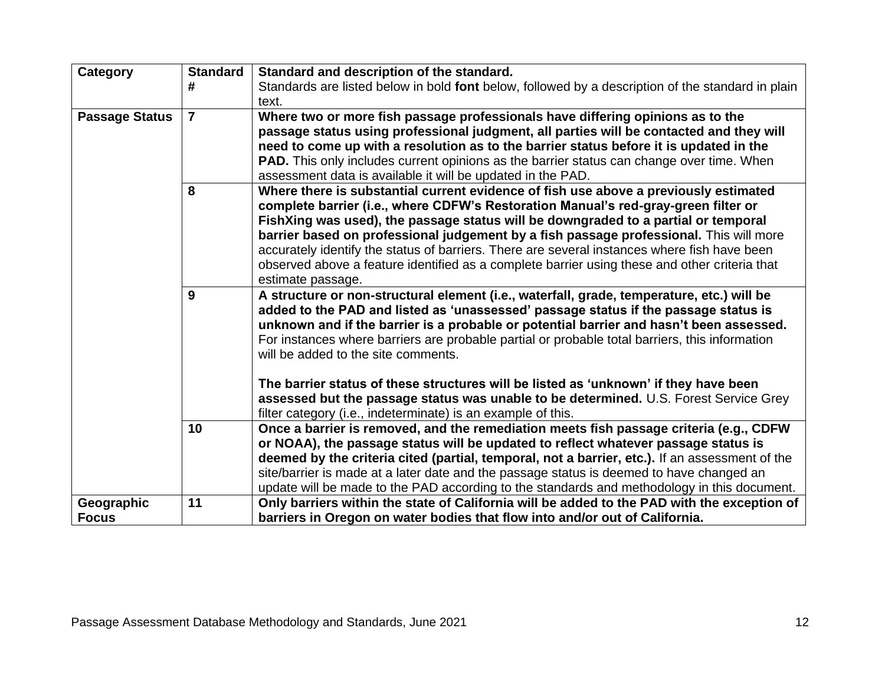| <b>Category</b>       | <b>Standard</b><br># | Standard and description of the standard.<br>Standards are listed below in bold font below, followed by a description of the standard in plain                                                                                                                                                                                                                                                                                                                                                                                                                                                        |
|-----------------------|----------------------|-------------------------------------------------------------------------------------------------------------------------------------------------------------------------------------------------------------------------------------------------------------------------------------------------------------------------------------------------------------------------------------------------------------------------------------------------------------------------------------------------------------------------------------------------------------------------------------------------------|
|                       |                      | text.                                                                                                                                                                                                                                                                                                                                                                                                                                                                                                                                                                                                 |
| <b>Passage Status</b> | $\overline{7}$       | Where two or more fish passage professionals have differing opinions as to the<br>passage status using professional judgment, all parties will be contacted and they will<br>need to come up with a resolution as to the barrier status before it is updated in the<br><b>PAD.</b> This only includes current opinions as the barrier status can change over time. When<br>assessment data is available it will be updated in the PAD.                                                                                                                                                                |
|                       | 8                    | Where there is substantial current evidence of fish use above a previously estimated<br>complete barrier (i.e., where CDFW's Restoration Manual's red-gray-green filter or<br>FishXing was used), the passage status will be downgraded to a partial or temporal<br>barrier based on professional judgement by a fish passage professional. This will more<br>accurately identify the status of barriers. There are several instances where fish have been<br>observed above a feature identified as a complete barrier using these and other criteria that<br>estimate passage.                      |
|                       | 9                    | A structure or non-structural element (i.e., waterfall, grade, temperature, etc.) will be<br>added to the PAD and listed as 'unassessed' passage status if the passage status is<br>unknown and if the barrier is a probable or potential barrier and hasn't been assessed.<br>For instances where barriers are probable partial or probable total barriers, this information<br>will be added to the site comments.<br>The barrier status of these structures will be listed as 'unknown' if they have been<br>assessed but the passage status was unable to be determined. U.S. Forest Service Grey |
|                       |                      | filter category (i.e., indeterminate) is an example of this.                                                                                                                                                                                                                                                                                                                                                                                                                                                                                                                                          |
|                       | 10                   | Once a barrier is removed, and the remediation meets fish passage criteria (e.g., CDFW<br>or NOAA), the passage status will be updated to reflect whatever passage status is<br>deemed by the criteria cited (partial, temporal, not a barrier, etc.). If an assessment of the<br>site/barrier is made at a later date and the passage status is deemed to have changed an<br>update will be made to the PAD according to the standards and methodology in this document.                                                                                                                             |
| Geographic            | 11                   | Only barriers within the state of California will be added to the PAD with the exception of                                                                                                                                                                                                                                                                                                                                                                                                                                                                                                           |
| <b>Focus</b>          |                      | barriers in Oregon on water bodies that flow into and/or out of California.                                                                                                                                                                                                                                                                                                                                                                                                                                                                                                                           |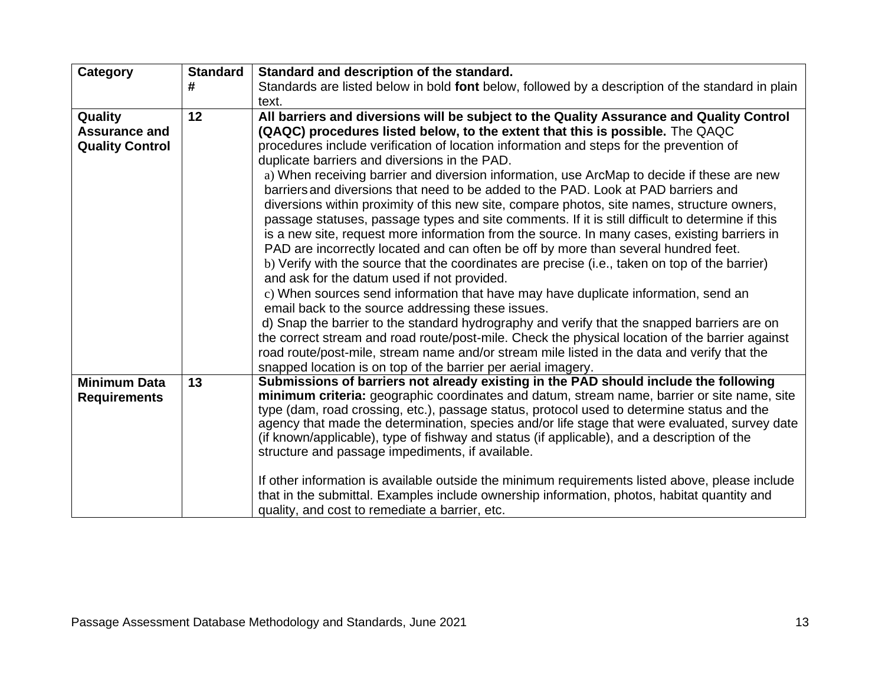| Category                                   | <b>Standard</b> | Standard and description of the standard.                                                                                                                                           |
|--------------------------------------------|-----------------|-------------------------------------------------------------------------------------------------------------------------------------------------------------------------------------|
|                                            | #               | Standards are listed below in bold font below, followed by a description of the standard in plain                                                                                   |
|                                            |                 | text.                                                                                                                                                                               |
| Quality                                    | 12              | All barriers and diversions will be subject to the Quality Assurance and Quality Control                                                                                            |
| <b>Assurance and</b>                       |                 | (QAQC) procedures listed below, to the extent that this is possible. The QAQC                                                                                                       |
| <b>Quality Control</b>                     |                 | procedures include verification of location information and steps for the prevention of                                                                                             |
|                                            |                 | duplicate barriers and diversions in the PAD.                                                                                                                                       |
|                                            |                 | a) When receiving barrier and diversion information, use ArcMap to decide if these are new<br>barriers and diversions that need to be added to the PAD. Look at PAD barriers and    |
|                                            |                 | diversions within proximity of this new site, compare photos, site names, structure owners,                                                                                         |
|                                            |                 | passage statuses, passage types and site comments. If it is still difficult to determine if this                                                                                    |
|                                            |                 | is a new site, request more information from the source. In many cases, existing barriers in                                                                                        |
|                                            |                 | PAD are incorrectly located and can often be off by more than several hundred feet.                                                                                                 |
|                                            |                 | b) Verify with the source that the coordinates are precise (i.e., taken on top of the barrier)                                                                                      |
|                                            |                 | and ask for the datum used if not provided.                                                                                                                                         |
|                                            |                 | c) When sources send information that have may have duplicate information, send an                                                                                                  |
|                                            |                 | email back to the source addressing these issues.                                                                                                                                   |
|                                            |                 | d) Snap the barrier to the standard hydrography and verify that the snapped barriers are on                                                                                         |
|                                            |                 | the correct stream and road route/post-mile. Check the physical location of the barrier against                                                                                     |
|                                            |                 | road route/post-mile, stream name and/or stream mile listed in the data and verify that the                                                                                         |
|                                            |                 | snapped location is on top of the barrier per aerial imagery.                                                                                                                       |
| <b>Minimum Data</b><br><b>Requirements</b> | 13              | Submissions of barriers not already existing in the PAD should include the following<br>minimum criteria: geographic coordinates and datum, stream name, barrier or site name, site |
|                                            |                 | type (dam, road crossing, etc.), passage status, protocol used to determine status and the                                                                                          |
|                                            |                 | agency that made the determination, species and/or life stage that were evaluated, survey date                                                                                      |
|                                            |                 | (if known/applicable), type of fishway and status (if applicable), and a description of the                                                                                         |
|                                            |                 | structure and passage impediments, if available.                                                                                                                                    |
|                                            |                 | If other information is available outside the minimum requirements listed above, please include                                                                                     |
|                                            |                 | that in the submittal. Examples include ownership information, photos, habitat quantity and                                                                                         |
|                                            |                 | quality, and cost to remediate a barrier, etc.                                                                                                                                      |